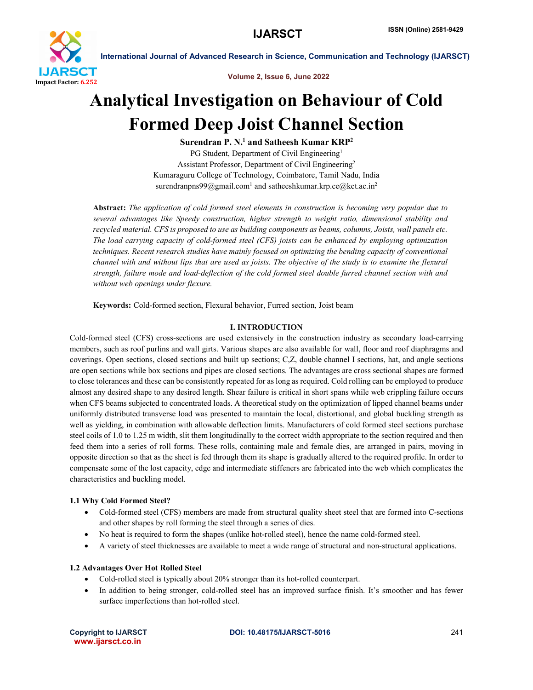

Volume 2, Issue 6, June 2022

## Analytical Investigation on Behaviour of Cold Formed Deep Joist Channel Section

Surendran P. N.<sup>1</sup> and Satheesh Kumar KRP<sup>2</sup> PG Student, Department of Civil Engineering<sup>1</sup> Assistant Professor, Department of Civil Engineering2 Kumaraguru College of Technology, Coimbatore, Tamil Nadu, India surendranpns99@gmail.com<sup>1</sup> and satheeshkumar.krp.ce@kct.ac.in<sup>2</sup>

Abstract: *The application of cold formed steel elements in construction is becoming very popular due to several advantages like Speedy construction, higher strength to weight ratio, dimensional stability and recycled material. CFS is proposed to use as building components as beams, columns, Joists, wall panels etc. The load carrying capacity of cold-formed steel (CFS) joists can be enhanced by employing optimization techniques. Recent research studies have mainly focused on optimizing the bending capacity of conventional channel with and without lips that are used as joists. The objective of the study is to examine the flexural strength, failure mode and load-deflection of the cold formed steel double furred channel section with and without web openings under flexure.*

Keywords: Cold-formed section, Flexural behavior, Furred section, Joist beam

#### I. INTRODUCTION

Cold-formed steel (CFS) cross-sections are used extensively in the construction industry as secondary load-carrying members, such as roof purlins and wall girts. Various shapes are also available for wall, floor and roof diaphragms and coverings. Open sections, closed sections and built up sections; C,Z, double channel I sections, hat, and angle sections are open sections while box sections and pipes are closed sections. The advantages are cross sectional shapes are formed to close tolerances and these can be consistently repeated for as long as required. Cold rolling can be employed to produce almost any desired shape to any desired length. Shear failure is critical in short spans while web crippling failure occurs when CFS beams subjected to concentrated loads. A theoretical study on the optimization of lipped channel beams under uniformly distributed transverse load was presented to maintain the local, distortional, and global buckling strength as well as yielding, in combination with allowable deflection limits. Manufacturers of cold formed steel sections purchase steel coils of 1.0 to 1.25 m width, slit them longitudinally to the correct width appropriate to the section required and then feed them into a series of roll forms. These rolls, containing male and female dies, are arranged in pairs, moving in opposite direction so that as the sheet is fed through them its shape is gradually altered to the required profile. In order to compensate some of the lost capacity, edge and intermediate stiffeners are fabricated into the web which complicates the characteristics and buckling model.

#### 1.1 Why Cold Formed Steel?

- Cold-formed steel (CFS) members are made from structural quality sheet steel that are formed into C-sections and other shapes by roll forming the steel through a series of dies.
- No heat is required to form the shapes (unlike hot-rolled steel), hence the name cold-formed steel.
- A variety of steel thicknesses are available to meet a wide range of structural and non-structural applications.

#### 1.2 Advantages Over Hot Rolled Steel

- Cold-rolled steel is typically about 20% stronger than its hot-rolled counterpart.
- In addition to being stronger, cold-rolled steel has an improved surface finish. It's smoother and has fewer surface imperfections than hot-rolled steel.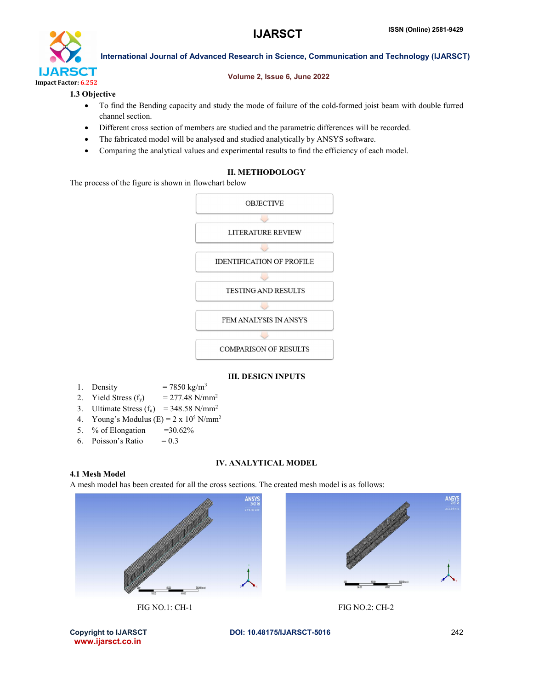

#### Volume 2, Issue 6, June 2022

#### 1.3 Objective

- To find the Bending capacity and study the mode of failure of the cold-formed joist beam with double furred channel section.
- Different cross section of members are studied and the parametric differences will be recorded.
- The fabricated model will be analysed and studied analytically by ANSYS software.
- Comparing the analytical values and experimental results to find the efficiency of each model.

#### II. METHODOLOGY

The process of the figure is shown in flowchart below



### III. DESIGN INPUTS

- 1. Density  $= 7850 \text{ kg/m}^3$
- 2. Yield Stress  $(f_v)$  = 277.48 N/mm<sup>2</sup>
- 3. Ultimate Stress  $(f_u)$  = 348.58 N/mm<sup>2</sup>
- 4. Young's Modulus (E) =  $2 \times 10^5$  N/mm<sup>2</sup>
- 5. % of Elongation  $=30.62\%$
- 6. Poisson's Ratio  $= 0.3$

## IV. ANALYTICAL MODEL

### 4.1 Mesh Model

A mesh model has been created for all the cross sections. The created mesh model is as follows:









www.ijarsct.co.in

Copyright to IJARSCTDOI: 10.48175/IJARSCT-5016 **242**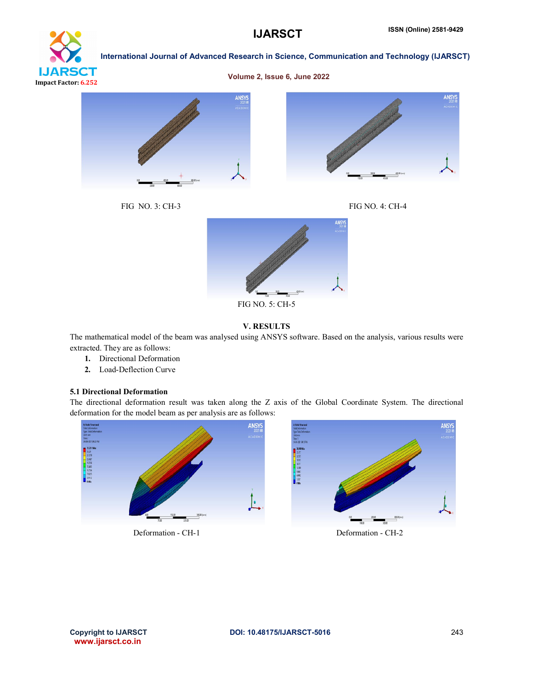# **IJARSCT** Impact Factor: 6.252

International Journal of Advanced Research in Science, Communication and Technology (IJARSCT)

#### Volume 2, Issue 6, June 2022



FIG NO. 3: CH-3 FIG NO. 4: CH-4





FIG NO. 5: CH-5

#### V. RESULTS

The mathematical model of the beam was analysed using ANSYS software. Based on the analysis, various results were extracted. They are as follows:

- 1. Directional Deformation
- 2. Load-Deflection Curve

#### 5.1 Directional Deformation

The directional deformation result was taken along the Z axis of the Global Coordinate System. The directional deformation for the model beam as per analysis are as follows:



Deformation - CH-1 Deformation - CH-2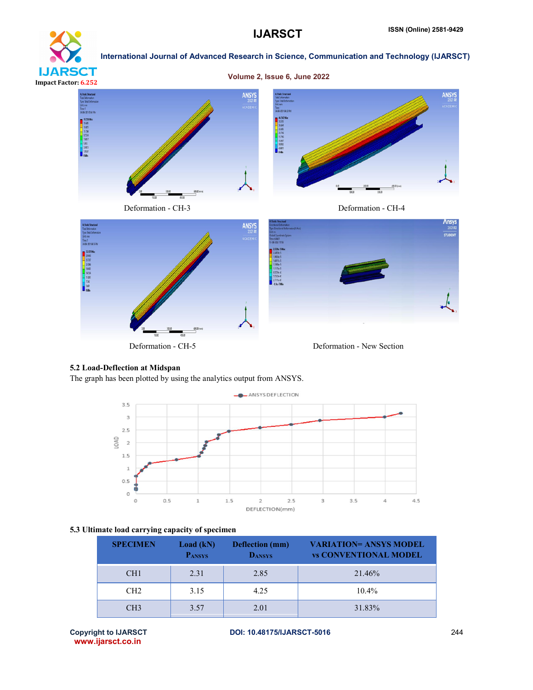



Volume 2, Issue 6, June 2022



Deformation - CH-5 Deformation - New Section

#### 5.2 Load-Deflection at Midspan

The graph has been plotted by using the analytics output from ANSYS.





| <b>SPECIMEN</b> | Load (kN)<br><b>PANSYS</b> | Deflection (mm)<br><b>DANSYS</b> | <b>VARIATION= ANSYS MODEL</b><br><b>vs CONVENTIONAL MODEL</b> |
|-----------------|----------------------------|----------------------------------|---------------------------------------------------------------|
| CH <sub>1</sub> | 2.31                       | 2.85                             | 21.46%                                                        |
| CH <sub>2</sub> | 3.15                       | 4.25                             | 10.4%                                                         |
| CH <sub>3</sub> | 3.57                       | 2.01                             | 31.83%                                                        |

www.ijarsct.co.in